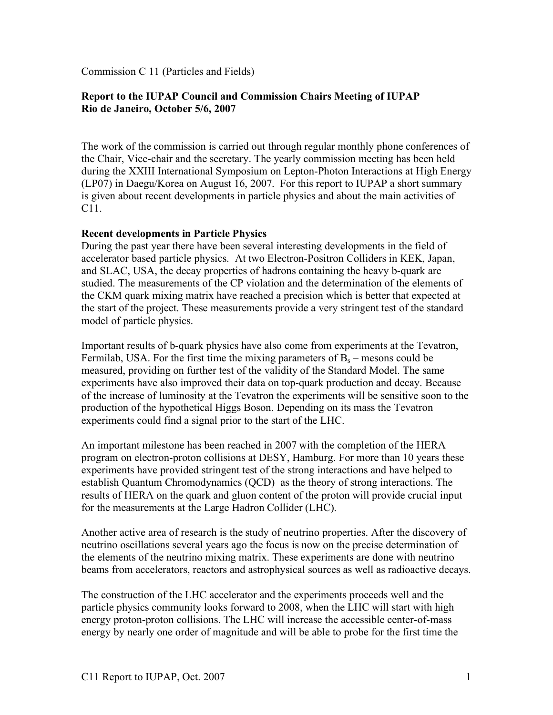Commission C 11 (Particles and Fields)

# **Report to the IUPAP Council and Commission Chairs Meeting of IUPAP Rio de Janeiro, October 5/6, 2007**

The work of the commission is carried out through regular monthly phone conferences of the Chair, Vice-chair and the secretary. The yearly commission meeting has been held during the XXIII International Symposium on Lepton-Photon Interactions at High Energy (LP07) in Daegu/Korea on August 16, 2007. For this report to IUPAP a short summary is given about recent developments in particle physics and about the main activities of C11.

## **Recent developments in Particle Physics**

During the past year there have been several interesting developments in the field of accelerator based particle physics. At two Electron-Positron Colliders in KEK, Japan, and SLAC, USA, the decay properties of hadrons containing the heavy b-quark are studied. The measurements of the CP violation and the determination of the elements of the CKM quark mixing matrix have reached a precision which is better that expected at the start of the project. These measurements provide a very stringent test of the standard model of particle physics.

Important results of b-quark physics have also come from experiments at the Tevatron, Fermilab, USA. For the first time the mixing parameters of  $B_s$  – mesons could be measured, providing on further test of the validity of the Standard Model. The same experiments have also improved their data on top-quark production and decay. Because of the increase of luminosity at the Tevatron the experiments will be sensitive soon to the production of the hypothetical Higgs Boson. Depending on its mass the Tevatron experiments could find a signal prior to the start of the LHC.

An important milestone has been reached in 2007 with the completion of the HERA program on electron-proton collisions at DESY, Hamburg. For more than 10 years these experiments have provided stringent test of the strong interactions and have helped to establish Quantum Chromodynamics (QCD) as the theory of strong interactions. The results of HERA on the quark and gluon content of the proton will provide crucial input for the measurements at the Large Hadron Collider (LHC).

Another active area of research is the study of neutrino properties. After the discovery of neutrino oscillations several years ago the focus is now on the precise determination of the elements of the neutrino mixing matrix. These experiments are done with neutrino beams from accelerators, reactors and astrophysical sources as well as radioactive decays.

The construction of the LHC accelerator and the experiments proceeds well and the particle physics community looks forward to 2008, when the LHC will start with high energy proton-proton collisions. The LHC will increase the accessible center-of-mass energy by nearly one order of magnitude and will be able to probe for the first time the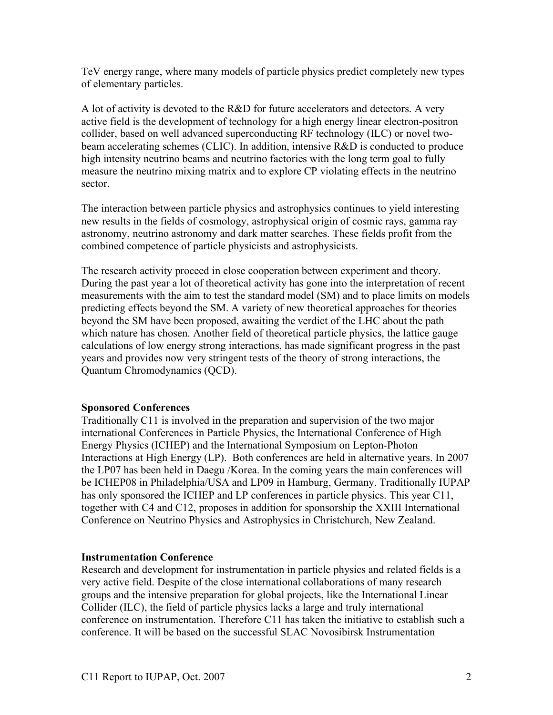TeV energy range, where many models of particle physics predict completely new types of elementary particles.

A lot of activity is devoted to the R&D for future accelerators and detectors. A very active field is the development of technology for a high energy linear electron-positron collider, based on well advanced superconducting RF technology (ILC) or novel twobeam accelerating schemes (CLIC). In addition, intensive R&D is conducted to produce high intensity neutrino beams and neutrino factories with the long term goal to fully measure the neutrino mixing matrix and to explore CP violating effects in the neutrino sector.

The interaction between particle physics and astrophysics continues to yield interesting new results in the fields of cosmology, astrophysical origin of cosmic rays, gamma ray astronomy, neutrino astronomy and dark matter searches. These fields profit from the combined competence of particle physicists and astrophysicists.

The research activity proceed in close cooperation between experiment and theory. During the past year a lot of theoretical activity has gone into the interpretation of recent measurements with the aim to test the standard model (SM) and to place limits on models predicting effects beyond the SM. A variety of new theoretical approaches for theories beyond the SM have been proposed, awaiting the verdict of the LHC about the path which nature has chosen. Another field of theoretical particle physics, the lattice gauge calculations of low energy strong interactions, has made significant progress in the past years and provides now very stringent tests of the theory of strong interactions, the Quantum Chromodynamics (QCD).

#### **Sponsored Conferences**

Traditionally C11 is involved in the preparation and supervision of the two major international Conferences in Particle Physics, the International Conference of High Energy Physics (ICHEP) and the International Symposium on Lepton-Photon Interactions at High Energy (LP). Both conferences are held in alternative years. In 2007 the LP07 has been held in Daegu /Korea. In the coming years the main conferences will be ICHEP08 in Philadelphia/USA and LP09 in Hamburg, Germany. Traditionally IUPAP has only sponsored the ICHEP and LP conferences in particle physics. This year C11, together with C4 and C12, proposes in addition for sponsorship the XXIII International Conference on Neutrino Physics and Astrophysics in Christchurch, New Zealand.

## **Instrumentation Conference**

Research and development for instrumentation in particle physics and related fields is a very active field. Despite of the close international collaborations of many research groups and the intensive preparation for global projects, like the International Linear Collider (ILC), the field of particle physics lacks a large and truly international conference on instrumentation. Therefore C11 has taken the initiative to establish such a conference. It will be based on the successful SLAC Novosibirsk Instrumentation